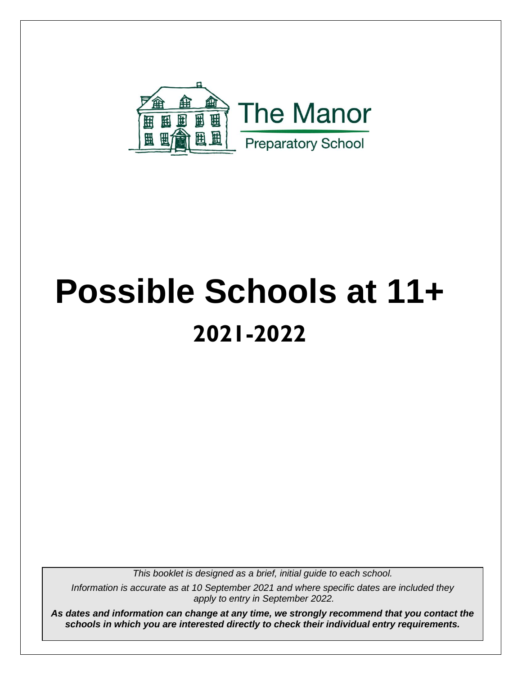

## **Possible Schools at 11+ 2021-2022**

*This booklet is designed as a brief, initial guide to each school.*

*Information is accurate as at 10 September 2021 and where specific dates are included they apply to entry in September 2022.*

*As dates and information can change at any time, we strongly recommend that you contact the schools in which you are interested directly to check their individual entry requirements.*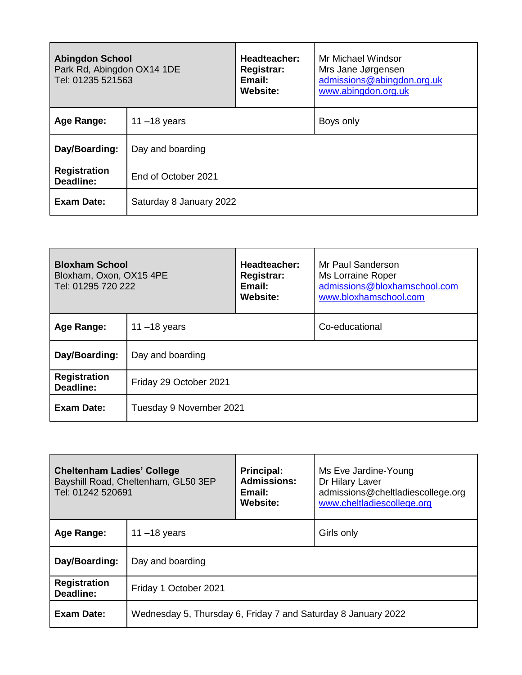| <b>Abingdon School</b><br>Park Rd, Abingdon OX14 1DE<br>Tel: 01235 521563 |                         | Headteacher:<br><b>Registrar:</b><br>Email:<br>Website: | Mr Michael Windsor<br>Mrs Jane Jørgensen<br>admissions@abingdon.org.uk<br>www.abingdon.org.uk |
|---------------------------------------------------------------------------|-------------------------|---------------------------------------------------------|-----------------------------------------------------------------------------------------------|
| Age Range:                                                                | 11 $-18$ years          |                                                         | Boys only                                                                                     |
| Day/Boarding:                                                             | Day and boarding        |                                                         |                                                                                               |
| <b>Registration</b><br>Deadline:                                          | End of October 2021     |                                                         |                                                                                               |
| <b>Exam Date:</b>                                                         | Saturday 8 January 2022 |                                                         |                                                                                               |

| <b>Bloxham School</b><br>Bloxham, Oxon, OX15 4PE<br>Tel: 01295 720 222 |                         | Headteacher:<br><b>Registrar:</b><br>Email:<br>Website: | Mr Paul Sanderson<br>Ms Lorraine Roper<br>admissions@bloxhamschool.com<br>www.bloxhamschool.com |
|------------------------------------------------------------------------|-------------------------|---------------------------------------------------------|-------------------------------------------------------------------------------------------------|
| Age Range:                                                             | $11 - 18$ years         |                                                         | Co-educational                                                                                  |
| Day/Boarding:                                                          | Day and boarding        |                                                         |                                                                                                 |
| <b>Registration</b><br>Deadline:                                       | Friday 29 October 2021  |                                                         |                                                                                                 |
| Exam Date:                                                             | Tuesday 9 November 2021 |                                                         |                                                                                                 |

| <b>Cheltenham Ladies' College</b><br>Tel: 01242 520691 | Bayshill Road, Cheltenham, GL50 3EP                           | <b>Principal:</b><br><b>Admissions:</b><br>Email:<br>Website: | Ms Eve Jardine-Young<br>Dr Hilary Laver<br>admissions@cheltladiescollege.org<br>www.cheltladiescollege.org |
|--------------------------------------------------------|---------------------------------------------------------------|---------------------------------------------------------------|------------------------------------------------------------------------------------------------------------|
| Age Range:                                             | 11 $-18$ years                                                |                                                               | Girls only                                                                                                 |
| Day/Boarding:                                          | Day and boarding                                              |                                                               |                                                                                                            |
| <b>Registration</b><br>Deadline:                       | Friday 1 October 2021                                         |                                                               |                                                                                                            |
| <b>Exam Date:</b>                                      | Wednesday 5, Thursday 6, Friday 7 and Saturday 8 January 2022 |                                                               |                                                                                                            |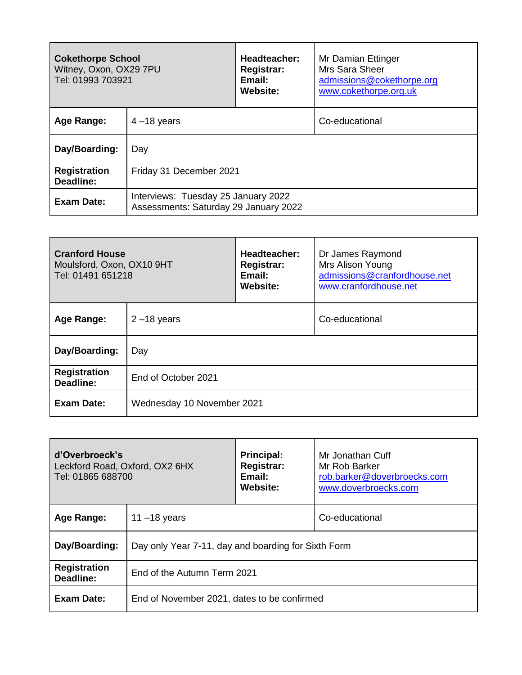| <b>Cokethorpe School</b><br>Witney, Oxon, OX29 7PU<br>Tel: 01993 703921 |                                                                              | Headteacher:<br>Registrar:<br>Email:<br>Website: | Mr Damian Ettinger<br>Mrs Sara Sheer<br>admissions@cokethorpe.org<br>www.cokethorpe.org.uk |
|-------------------------------------------------------------------------|------------------------------------------------------------------------------|--------------------------------------------------|--------------------------------------------------------------------------------------------|
| Age Range:                                                              | $4 - 18$ years                                                               |                                                  | Co-educational                                                                             |
| Day/Boarding:                                                           | Day                                                                          |                                                  |                                                                                            |
| <b>Registration</b><br>Deadline:                                        | Friday 31 December 2021                                                      |                                                  |                                                                                            |
| <b>Exam Date:</b>                                                       | Interviews: Tuesday 25 January 2022<br>Assessments: Saturday 29 January 2022 |                                                  |                                                                                            |

| <b>Cranford House</b><br>Moulsford, Oxon, OX10 9HT<br>Tel: 01491 651218 |                            | Headteacher:<br><b>Registrar:</b><br>Email:<br><b>Website:</b> | Dr James Raymond<br>Mrs Alison Young<br>admissions@cranfordhouse.net<br>www.cranfordhouse.net |
|-------------------------------------------------------------------------|----------------------------|----------------------------------------------------------------|-----------------------------------------------------------------------------------------------|
| Age Range:                                                              | $2 - 18$ years             |                                                                | Co-educational                                                                                |
| Day/Boarding:                                                           | Day                        |                                                                |                                                                                               |
| <b>Registration</b><br>Deadline:                                        | End of October 2021        |                                                                |                                                                                               |
| Exam Date:                                                              | Wednesday 10 November 2021 |                                                                |                                                                                               |

| d'Overbroeck's<br>Leckford Road, Oxford, OX2 6HX<br>Tel: 01865 688700 |                                                     | <b>Principal:</b><br><b>Registrar:</b><br>Email:<br>Website: | Mr Jonathan Cuff<br>Mr Rob Barker<br>rob.barker@doverbroecks.com<br>www.doverbroecks.com |
|-----------------------------------------------------------------------|-----------------------------------------------------|--------------------------------------------------------------|------------------------------------------------------------------------------------------|
| Age Range:                                                            | $11 - 18$ years                                     |                                                              | Co-educational                                                                           |
| Day/Boarding:                                                         | Day only Year 7-11, day and boarding for Sixth Form |                                                              |                                                                                          |
| <b>Registration</b><br>Deadline:                                      | End of the Autumn Term 2021                         |                                                              |                                                                                          |
| <b>Exam Date:</b>                                                     | End of November 2021, dates to be confirmed         |                                                              |                                                                                          |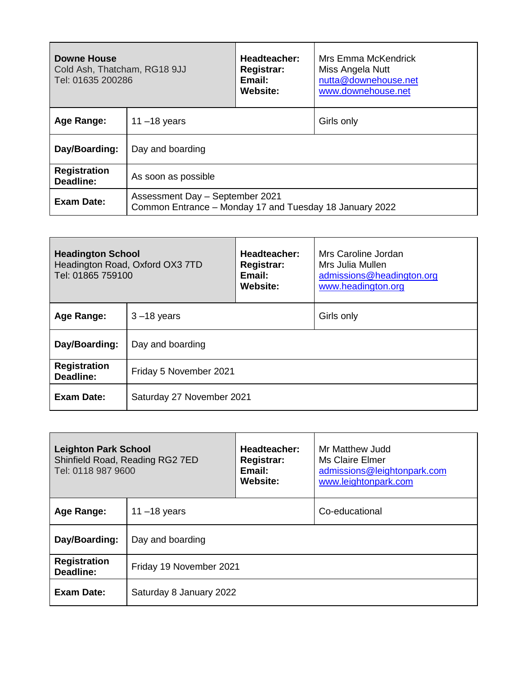| Downe House<br>Cold Ash, Thatcham, RG18 9JJ<br>Tel: 01635 200286 |                                                                                            | <b>Headteacher:</b><br><b>Registrar:</b><br>Email:<br>Website: | Mrs Emma McKendrick<br>Miss Angela Nutt<br>nutta@downehouse.net<br>www.downehouse.net |
|------------------------------------------------------------------|--------------------------------------------------------------------------------------------|----------------------------------------------------------------|---------------------------------------------------------------------------------------|
| Age Range:                                                       | 11 $-18$ years                                                                             |                                                                | Girls only                                                                            |
| Day/Boarding:                                                    | Day and boarding                                                                           |                                                                |                                                                                       |
| <b>Registration</b><br>Deadline:                                 | As soon as possible                                                                        |                                                                |                                                                                       |
| Exam Date:                                                       | Assessment Day - September 2021<br>Common Entrance - Monday 17 and Tuesday 18 January 2022 |                                                                |                                                                                       |

| <b>Headington School</b><br>Tel: 01865 759100 | Headington Road, Oxford OX3 7TD | Headteacher:<br><b>Registrar:</b><br>Email:<br>Website: | Mrs Caroline Jordan<br>Mrs Julia Mullen<br>admissions@headington.org<br>www.headington.org |
|-----------------------------------------------|---------------------------------|---------------------------------------------------------|--------------------------------------------------------------------------------------------|
| Age Range:                                    | $3 - 18$ years                  |                                                         | Girls only                                                                                 |
| Day/Boarding:                                 | Day and boarding                |                                                         |                                                                                            |
| <b>Registration</b><br>Deadline:              | Friday 5 November 2021          |                                                         |                                                                                            |
| <b>Exam Date:</b>                             | Saturday 27 November 2021       |                                                         |                                                                                            |

| <b>Leighton Park School</b><br>Tel: 0118 987 9600 | Shinfield Road, Reading RG2 7ED | Headteacher:<br><b>Registrar:</b><br>Email:<br>Website: | Mr Matthew Judd<br>Ms Claire Elmer<br>admissions@leightonpark.com<br>www.leightonpark.com |
|---------------------------------------------------|---------------------------------|---------------------------------------------------------|-------------------------------------------------------------------------------------------|
| Age Range:                                        | 11 $-18$ years                  |                                                         | Co-educational                                                                            |
| Day/Boarding:                                     | Day and boarding                |                                                         |                                                                                           |
| <b>Registration</b><br>Deadline:                  | Friday 19 November 2021         |                                                         |                                                                                           |
| Exam Date:                                        | Saturday 8 January 2022         |                                                         |                                                                                           |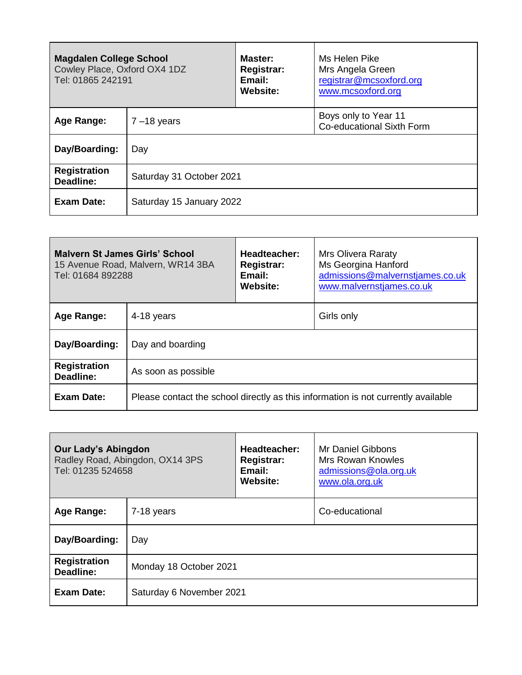| <b>Magdalen College School</b><br>Cowley Place, Oxford OX4 1DZ<br>Tel: 01865 242191 |                          | Master:<br><b>Registrar:</b><br>Email:<br>Website: | Ms Helen Pike<br>Mrs Angela Green<br>registrar@mcsoxford.org<br>www.mcsoxford.org |
|-------------------------------------------------------------------------------------|--------------------------|----------------------------------------------------|-----------------------------------------------------------------------------------|
| Age Range:                                                                          | $7 - 18$ years           |                                                    | Boys only to Year 11<br>Co-educational Sixth Form                                 |
| Day/Boarding:                                                                       | Day                      |                                                    |                                                                                   |
| <b>Registration</b><br>Deadline:                                                    | Saturday 31 October 2021 |                                                    |                                                                                   |
| Exam Date:                                                                          | Saturday 15 January 2022 |                                                    |                                                                                   |

| Malvern St James Girls' School<br>Tel: 01684 892288 | 15 Avenue Road, Malvern, WR14 3BA                                                 | Headteacher:<br><b>Registrar:</b><br>Email:<br>Website: | <b>Mrs Olivera Raraty</b><br>Ms Georgina Hanford<br>admissions@malvernstjames.co.uk<br>www.malvernstjames.co.uk |
|-----------------------------------------------------|-----------------------------------------------------------------------------------|---------------------------------------------------------|-----------------------------------------------------------------------------------------------------------------|
| Age Range:                                          | 4-18 years                                                                        |                                                         | Girls only                                                                                                      |
| Day/Boarding:                                       | Day and boarding                                                                  |                                                         |                                                                                                                 |
| <b>Registration</b><br>Deadline:                    | As soon as possible                                                               |                                                         |                                                                                                                 |
| <b>Exam Date:</b>                                   | Please contact the school directly as this information is not currently available |                                                         |                                                                                                                 |

| <b>Our Lady's Abingdon</b><br>Tel: 01235 524658 | Radley Road, Abingdon, OX14 3PS | Headteacher:<br><b>Registrar:</b><br>Email:<br>Website: | Mr Daniel Gibbons<br><b>Mrs Rowan Knowles</b><br>admissions@ola.org.uk<br>www.ola.org.uk |
|-------------------------------------------------|---------------------------------|---------------------------------------------------------|------------------------------------------------------------------------------------------|
| Age Range:                                      | 7-18 years                      |                                                         | Co-educational                                                                           |
| Day/Boarding:                                   | Day                             |                                                         |                                                                                          |
| <b>Registration</b><br>Deadline:                | Monday 18 October 2021          |                                                         |                                                                                          |
| Exam Date:                                      | Saturday 6 November 2021        |                                                         |                                                                                          |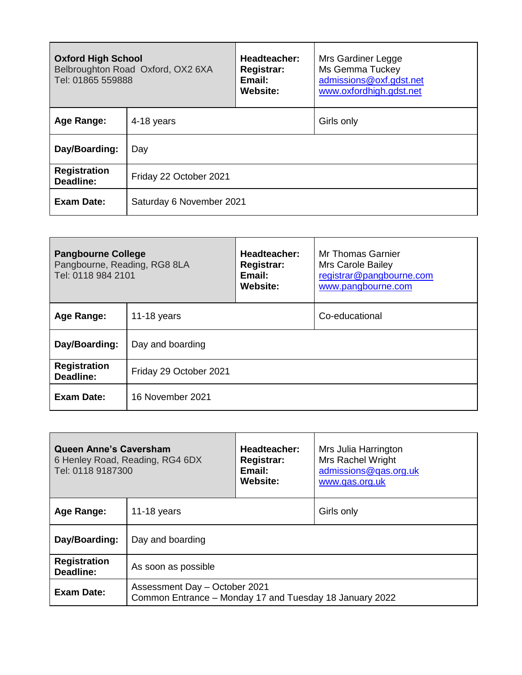| <b>Oxford High School</b><br>Tel: 01865 559888 | Belbroughton Road Oxford, OX2 6XA | Headteacher:<br><b>Registrar:</b><br>Email:<br>Website: | Mrs Gardiner Legge<br>Ms Gemma Tuckey<br>admissions@oxf.gdst.net<br>www.oxfordhigh.gdst.net |
|------------------------------------------------|-----------------------------------|---------------------------------------------------------|---------------------------------------------------------------------------------------------|
| Age Range:                                     | 4-18 years                        |                                                         | Girls only                                                                                  |
| Day/Boarding:                                  | Day                               |                                                         |                                                                                             |
| <b>Registration</b><br>Deadline:               | Friday 22 October 2021            |                                                         |                                                                                             |
| <b>Exam Date:</b>                              | Saturday 6 November 2021          |                                                         |                                                                                             |

| <b>Pangbourne College</b><br>Pangbourne, Reading, RG8 8LA<br>Tel: 0118 984 2101 |                        | Headteacher:<br><b>Registrar:</b><br>Email:<br>Website: | Mr Thomas Garnier<br>Mrs Carole Bailey<br>registrar@pangbourne.com<br>www.pangbourne.com |
|---------------------------------------------------------------------------------|------------------------|---------------------------------------------------------|------------------------------------------------------------------------------------------|
| Age Range:                                                                      | 11-18 years            |                                                         | Co-educational                                                                           |
| Day/Boarding:                                                                   | Day and boarding       |                                                         |                                                                                          |
| <b>Registration</b><br>Deadline:                                                | Friday 29 October 2021 |                                                         |                                                                                          |
| Exam Date:                                                                      | 16 November 2021       |                                                         |                                                                                          |

| <b>Queen Anne's Caversham</b><br>Tel: 0118 9187300 | 6 Henley Road, Reading, RG4 6DX                                                          | Headteacher:<br><b>Registrar:</b><br>Email:<br><b>Website:</b> | Mrs Julia Harrington<br><b>Mrs Rachel Wright</b><br>admissions@qas.org.uk<br>www.gas.org.uk |
|----------------------------------------------------|------------------------------------------------------------------------------------------|----------------------------------------------------------------|---------------------------------------------------------------------------------------------|
| Age Range:                                         | 11-18 years                                                                              |                                                                | Girls only                                                                                  |
| Day/Boarding:                                      | Day and boarding                                                                         |                                                                |                                                                                             |
| <b>Registration</b><br>Deadline:                   | As soon as possible                                                                      |                                                                |                                                                                             |
| Exam Date:                                         | Assessment Day - October 2021<br>Common Entrance - Monday 17 and Tuesday 18 January 2022 |                                                                |                                                                                             |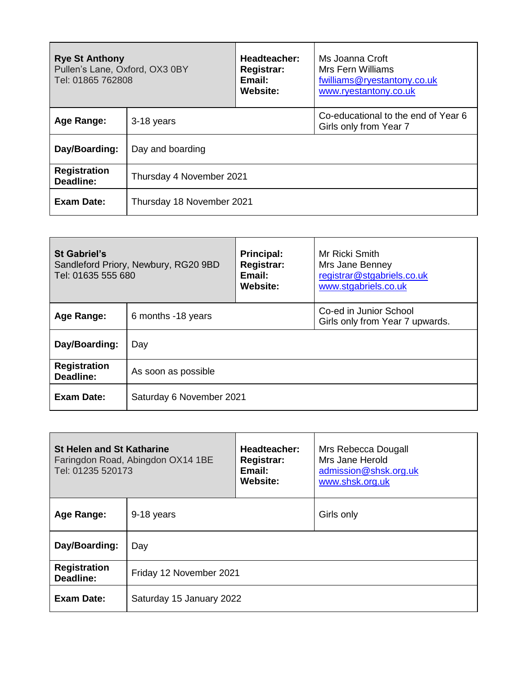| <b>Rye St Anthony</b><br>Pullen's Lane, Oxford, OX3 0BY<br>Tel: 01865 762808 |                           | Headteacher:<br>Registrar:<br>Email:<br>Website: | Ms Joanna Croft<br>Mrs Fern Williams<br>fwilliams@ryestantony.co.uk<br>www.ryestantony.co.uk |
|------------------------------------------------------------------------------|---------------------------|--------------------------------------------------|----------------------------------------------------------------------------------------------|
| Age Range:                                                                   | 3-18 years                |                                                  | Co-educational to the end of Year 6<br>Girls only from Year 7                                |
| Day/Boarding:                                                                | Day and boarding          |                                                  |                                                                                              |
| <b>Registration</b><br>Deadline:                                             | Thursday 4 November 2021  |                                                  |                                                                                              |
| Exam Date:                                                                   | Thursday 18 November 2021 |                                                  |                                                                                              |

| <b>St Gabriel's</b><br><b>Principal:</b><br><b>Registrar:</b><br>Sandleford Priory, Newbury, RG20 9BD<br>Tel: 01635 555 680<br>Email:<br>Website: |                          |  | Mr Ricki Smith<br>Mrs Jane Benney<br>registrar@stgabriels.co.uk<br>www.stgabriels.co.uk |
|---------------------------------------------------------------------------------------------------------------------------------------------------|--------------------------|--|-----------------------------------------------------------------------------------------|
| Age Range:                                                                                                                                        | 6 months -18 years       |  | Co-ed in Junior School<br>Girls only from Year 7 upwards.                               |
| Day/Boarding:                                                                                                                                     | Day                      |  |                                                                                         |
| <b>Registration</b><br>Deadline:                                                                                                                  | As soon as possible      |  |                                                                                         |
| Exam Date:                                                                                                                                        | Saturday 6 November 2021 |  |                                                                                         |

| <b>St Helen and St Katharine</b><br>Faringdon Road, Abingdon OX14 1BE<br>Tel: 01235 520173 |                          | Headteacher:<br>Registrar:<br>Email:<br><b>Website:</b> | Mrs Rebecca Dougall<br>Mrs Jane Herold<br>admission@shsk.org.uk<br>www.shsk.org.uk |
|--------------------------------------------------------------------------------------------|--------------------------|---------------------------------------------------------|------------------------------------------------------------------------------------|
| Age Range:                                                                                 | 9-18 years               |                                                         | Girls only                                                                         |
| Day/Boarding:                                                                              | Day                      |                                                         |                                                                                    |
| <b>Registration</b><br>Deadline:                                                           | Friday 12 November 2021  |                                                         |                                                                                    |
| <b>Exam Date:</b>                                                                          | Saturday 15 January 2022 |                                                         |                                                                                    |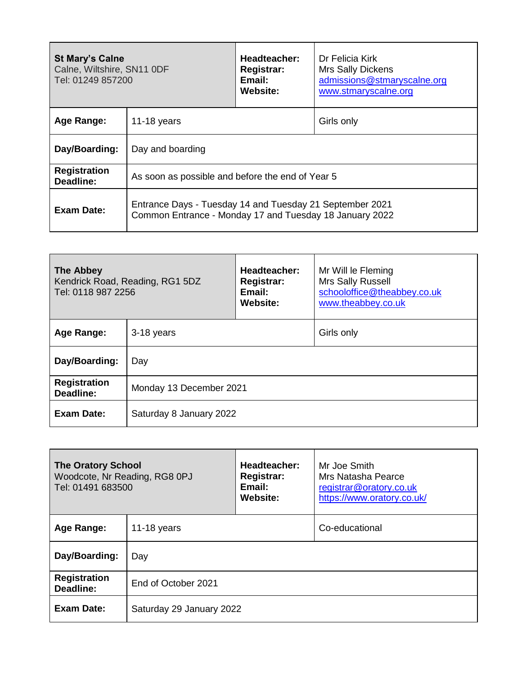| <b>St Mary's Calne</b><br>Calne, Wiltshire, SN11 ODF<br>Tel: 01249 857200 |                                                                                                                     | Headteacher:<br><b>Registrar:</b><br>Email:<br>Website: | Dr Felicia Kirk<br><b>Mrs Sally Dickens</b><br>admissions@stmaryscalne.org<br>www.stmaryscalne.org |
|---------------------------------------------------------------------------|---------------------------------------------------------------------------------------------------------------------|---------------------------------------------------------|----------------------------------------------------------------------------------------------------|
| Age Range:                                                                | 11-18 years                                                                                                         |                                                         | Girls only                                                                                         |
| Day/Boarding:                                                             | Day and boarding                                                                                                    |                                                         |                                                                                                    |
| <b>Registration</b><br>Deadline:                                          | As soon as possible and before the end of Year 5                                                                    |                                                         |                                                                                                    |
| Exam Date:                                                                | Entrance Days - Tuesday 14 and Tuesday 21 September 2021<br>Common Entrance - Monday 17 and Tuesday 18 January 2022 |                                                         |                                                                                                    |

| <b>The Abbey</b><br>Tel: 0118 987 2256 | Kendrick Road, Reading, RG1 5DZ | Headteacher:<br><b>Registrar:</b><br>Email:<br>Website: | Mr Will le Fleming<br>Mrs Sally Russell<br>schooloffice@theabbey.co.uk<br>www.theabbey.co.uk |
|----------------------------------------|---------------------------------|---------------------------------------------------------|----------------------------------------------------------------------------------------------|
| Age Range:                             | 3-18 years                      |                                                         | Girls only                                                                                   |
| Day/Boarding:                          | Day                             |                                                         |                                                                                              |
| <b>Registration</b><br>Deadline:       | Monday 13 December 2021         |                                                         |                                                                                              |
| <b>Exam Date:</b>                      | Saturday 8 January 2022         |                                                         |                                                                                              |

| <b>The Oratory School</b><br>Woodcote, Nr Reading, RG8 0PJ<br>Tel: 01491 683500 |                          | Headteacher:<br><b>Registrar:</b><br>Email:<br>Website: | Mr Joe Smith<br>Mrs Natasha Pearce<br>registrar@oratory.co.uk<br>https://www.oratory.co.uk/ |
|---------------------------------------------------------------------------------|--------------------------|---------------------------------------------------------|---------------------------------------------------------------------------------------------|
| Age Range:                                                                      | 11-18 years              |                                                         | Co-educational                                                                              |
| Day/Boarding:                                                                   | Day                      |                                                         |                                                                                             |
| <b>Registration</b><br><b>Deadline:</b>                                         | End of October 2021      |                                                         |                                                                                             |
| Exam Date:                                                                      | Saturday 29 January 2022 |                                                         |                                                                                             |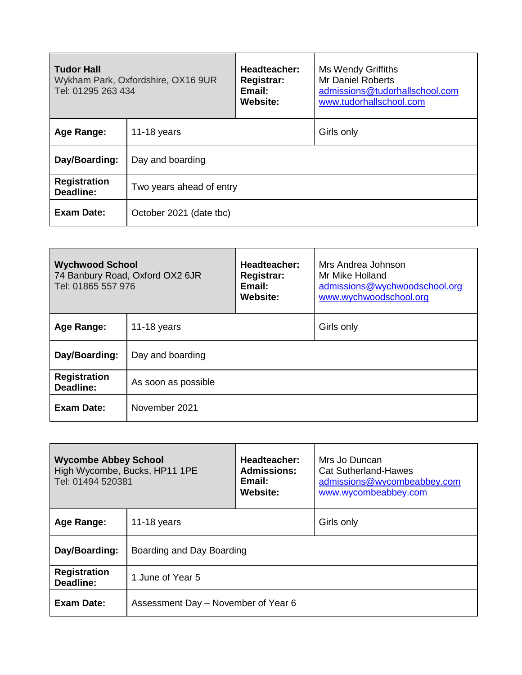| <b>Tudor Hall</b><br>Tel: 01295 263 434 | Wykham Park, Oxfordshire, OX16 9UR | Headteacher:<br><b>Registrar:</b><br>Email:<br><b>Website:</b> | Ms Wendy Griffiths<br>Mr Daniel Roberts<br>admissions@tudorhallschool.com<br>www.tudorhallschool.com |
|-----------------------------------------|------------------------------------|----------------------------------------------------------------|------------------------------------------------------------------------------------------------------|
| <b>Age Range:</b>                       | 11-18 years                        |                                                                | Girls only                                                                                           |
| Day/Boarding:                           | Day and boarding                   |                                                                |                                                                                                      |
| <b>Registration</b><br>Deadline:        | Two years ahead of entry           |                                                                |                                                                                                      |
| Exam Date:                              | October 2021 (date tbc)            |                                                                |                                                                                                      |

| <b>Wychwood School</b><br>Tel: 01865 557 976 | 74 Banbury Road, Oxford OX2 6JR | Headteacher:<br><b>Registrar:</b><br>Email:<br><b>Website:</b> | Mrs Andrea Johnson<br>Mr Mike Holland<br>admissions@wychwoodschool.org<br>www.wychwoodschool.org |
|----------------------------------------------|---------------------------------|----------------------------------------------------------------|--------------------------------------------------------------------------------------------------|
| Age Range:                                   | 11-18 years                     |                                                                | Girls only                                                                                       |
| Day/Boarding:                                | Day and boarding                |                                                                |                                                                                                  |
| <b>Registration</b><br>Deadline:             | As soon as possible             |                                                                |                                                                                                  |
| Exam Date:                                   | November 2021                   |                                                                |                                                                                                  |

| <b>Wycombe Abbey School</b><br>High Wycombe, Bucks, HP11 1PE<br>Tel: 01494 520381 |                                     | Headteacher:<br><b>Admissions:</b><br>Email:<br>Website: | Mrs Jo Duncan<br>Cat Sutherland-Hawes<br>admissions@wycombeabbey.com<br>www.wycombeabbey.com |
|-----------------------------------------------------------------------------------|-------------------------------------|----------------------------------------------------------|----------------------------------------------------------------------------------------------|
| Age Range:                                                                        | 11-18 years                         |                                                          | Girls only                                                                                   |
| Day/Boarding:                                                                     | Boarding and Day Boarding           |                                                          |                                                                                              |
| <b>Registration</b><br>Deadline:                                                  | 1 June of Year 5                    |                                                          |                                                                                              |
| Exam Date:                                                                        | Assessment Day - November of Year 6 |                                                          |                                                                                              |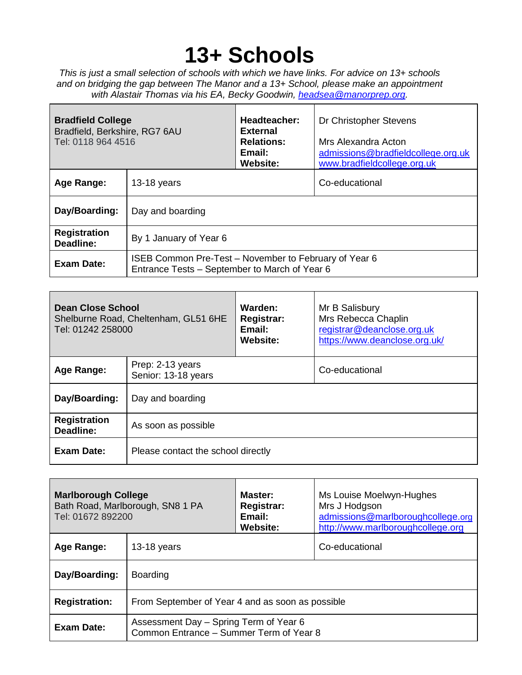## **13+ Schools**

*This is just a small selection of schools with which we have links. For advice on 13+ schools and on bridging the gap between The Manor and a 13+ School, please make an appointment with Alastair Thomas via his EA, Becky Goodwin, [headsea@manorprep.org.](mailto:headsea@manorprep.org)*

| <b>Bradfield College</b><br>Bradfield, Berkshire, RG7 6AU<br>Tel: 0118 964 4516 |                                                                                                        | Headteacher:<br><b>External</b><br><b>Relations:</b><br>Email:<br>Website: | Dr Christopher Stevens<br>Mrs Alexandra Acton<br>admissions@bradfieldcollege.org.uk<br>www.bradfieldcollege.org.uk |
|---------------------------------------------------------------------------------|--------------------------------------------------------------------------------------------------------|----------------------------------------------------------------------------|--------------------------------------------------------------------------------------------------------------------|
| Age Range:                                                                      | $13-18$ years                                                                                          |                                                                            | Co-educational                                                                                                     |
| Day/Boarding:                                                                   | Day and boarding                                                                                       |                                                                            |                                                                                                                    |
| <b>Registration</b><br>Deadline:                                                | By 1 January of Year 6                                                                                 |                                                                            |                                                                                                                    |
| <b>Exam Date:</b>                                                               | ISEB Common Pre-Test – November to February of Year 6<br>Entrance Tests – September to March of Year 6 |                                                                            |                                                                                                                    |

| <b>Dean Close School</b><br>Tel: 01242 258000 | Shelburne Road, Cheltenham, GL51 6HE    | Warden:<br><b>Registrar:</b><br>Email:<br><b>Website:</b> | Mr B Salisbury<br>Mrs Rebecca Chaplin<br>registrar@deanclose.org.uk<br>https://www.deanclose.org.uk/ |
|-----------------------------------------------|-----------------------------------------|-----------------------------------------------------------|------------------------------------------------------------------------------------------------------|
| Age Range:                                    | Prep: 2-13 years<br>Senior: 13-18 years |                                                           | Co-educational                                                                                       |
| Day/Boarding:                                 | Day and boarding                        |                                                           |                                                                                                      |
| <b>Registration</b><br>Deadline:              | As soon as possible                     |                                                           |                                                                                                      |
| Exam Date:                                    | Please contact the school directly      |                                                           |                                                                                                      |

| <b>Marlborough College</b><br>Tel: 01672 892200 | Bath Road, Marlborough, SN8 1 PA                                                  | Master:<br>Registrar:<br>Email:<br>Website: | Ms Louise Moelwyn-Hughes<br>Mrs J Hodgson<br>admissions@marlboroughcollege.org<br>http://www.marlboroughcollege.org |
|-------------------------------------------------|-----------------------------------------------------------------------------------|---------------------------------------------|---------------------------------------------------------------------------------------------------------------------|
| Age Range:                                      | $13-18$ years                                                                     |                                             | Co-educational                                                                                                      |
| Day/Boarding:                                   | <b>Boarding</b>                                                                   |                                             |                                                                                                                     |
| <b>Registration:</b>                            | From September of Year 4 and as soon as possible                                  |                                             |                                                                                                                     |
| Exam Date:                                      | Assessment Day - Spring Term of Year 6<br>Common Entrance - Summer Term of Year 8 |                                             |                                                                                                                     |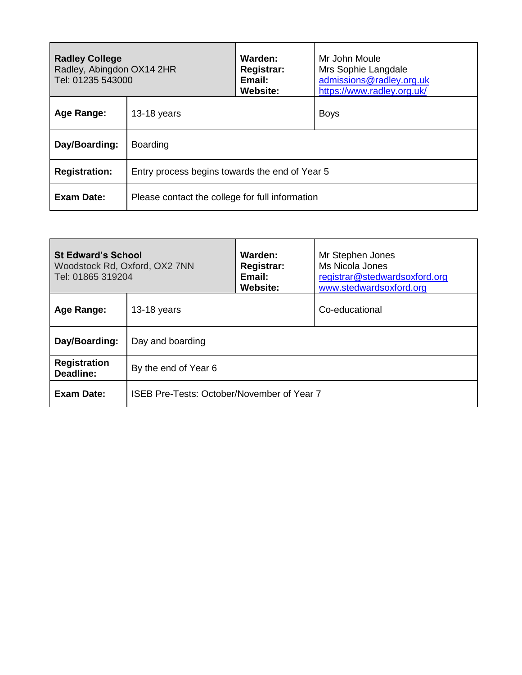| <b>Radley College</b><br>Radley, Abingdon OX14 2HR<br>Tel: 01235 543000 |                                                 | Warden:<br>Registrar:<br>Email:<br><b>Website:</b> | Mr John Moule<br>Mrs Sophie Langdale<br>admissions@radley.org.uk<br>https://www.radley.org.uk/ |
|-------------------------------------------------------------------------|-------------------------------------------------|----------------------------------------------------|------------------------------------------------------------------------------------------------|
| Age Range:                                                              | $13-18$ years                                   |                                                    | <b>Boys</b>                                                                                    |
| Day/Boarding:                                                           | <b>Boarding</b>                                 |                                                    |                                                                                                |
| <b>Registration:</b>                                                    | Entry process begins towards the end of Year 5  |                                                    |                                                                                                |
| <b>Exam Date:</b>                                                       | Please contact the college for full information |                                                    |                                                                                                |

| <b>St Edward's School</b><br>Woodstock Rd, Oxford, OX2 7NN<br>Tel: 01865 319204 |                                            | Warden:<br><b>Registrar:</b><br>Email:<br><b>Website:</b> | Mr Stephen Jones<br>Ms Nicola Jones<br>registrar@stedwardsoxford.org<br>www.stedwardsoxford.org |
|---------------------------------------------------------------------------------|--------------------------------------------|-----------------------------------------------------------|-------------------------------------------------------------------------------------------------|
| Age Range:                                                                      | $13-18$ years                              |                                                           | Co-educational                                                                                  |
| Day/Boarding:                                                                   | Day and boarding                           |                                                           |                                                                                                 |
| <b>Registration</b><br>Deadline:                                                | By the end of Year 6                       |                                                           |                                                                                                 |
| Exam Date:                                                                      | ISEB Pre-Tests: October/November of Year 7 |                                                           |                                                                                                 |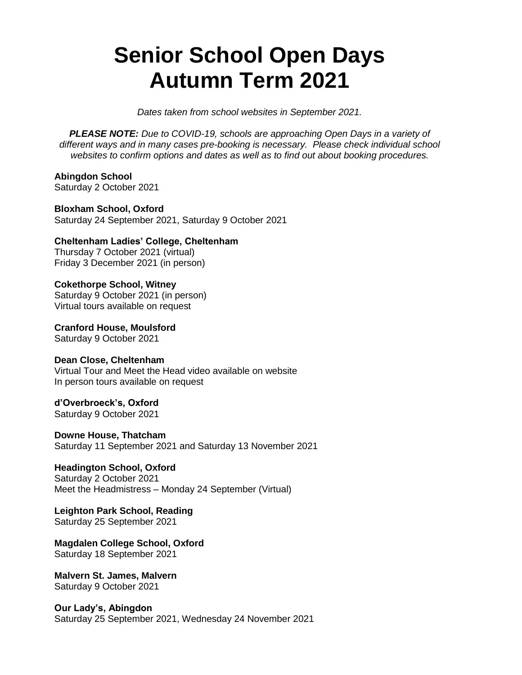## **Senior School Open Days Autumn Term 2021**

*Dates taken from school websites in September 2021.* 

*PLEASE NOTE: Due to COVID-19, schools are approaching Open Days in a variety of different ways and in many cases pre-booking is necessary. Please check individual school websites to confirm options and dates as well as to find out about booking procedures.*

**Abingdon School** Saturday 2 October 2021

**Bloxham School, Oxford** Saturday 24 September 2021, Saturday 9 October 2021

**Cheltenham Ladies' College, Cheltenham** Thursday 7 October 2021 (virtual) Friday 3 December 2021 (in person)

**Cokethorpe School, Witney** Saturday 9 October 2021 (in person) Virtual tours available on request

**Cranford House, Moulsford** Saturday 9 October 2021

## **Dean Close, Cheltenham** Virtual Tour and Meet the Head video available on website In person tours available on request

**d'Overbroeck's, Oxford**

Saturday 9 October 2021

**Downe House, Thatcham** Saturday 11 September 2021 and Saturday 13 November 2021

**Headington School, Oxford** Saturday 2 October 2021 Meet the Headmistress – Monday 24 September (Virtual)

**Leighton Park School, Reading** Saturday 25 September 2021

**Magdalen College School, Oxford** Saturday 18 September 2021

**Malvern St. James, Malvern** Saturday 9 October 2021

**Our Lady's, Abingdon** Saturday 25 September 2021, Wednesday 24 November 2021